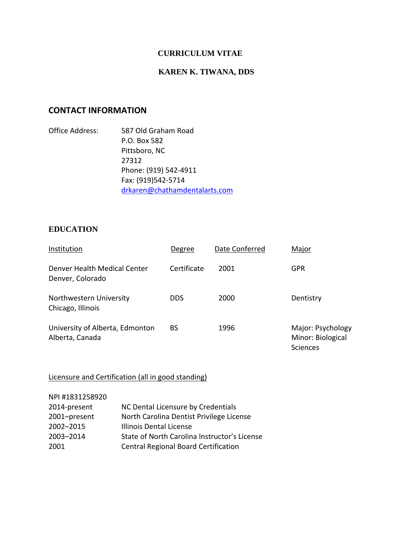### **CURRICULUM VITAE**

# **KAREN K. TIWANA, DDS**

## **CONTACT INFORMATION**

Office Address: 587 Old Graham Road P.O. Box 582 Pittsboro, NC 27312 Phone: (919) 542-4911 Fax: (919)542-5714 [drkaren@chathamdentalarts.com](mailto:drkaren@chathamdentalarts.com)

#### **EDUCATION**

| Institution                                        | Degree      | Date Conferred | Major                                              |
|----------------------------------------------------|-------------|----------------|----------------------------------------------------|
| Denver Health Medical Center<br>Denver, Colorado   | Certificate | 2001           | GPR                                                |
| Northwestern University<br>Chicago, Illinois       | <b>DDS</b>  | 2000           | Dentistry                                          |
| University of Alberta, Edmonton<br>Alberta, Canada | BS          | 1996           | Major: Psychology<br>Minor: Biological<br>Sciences |

### Licensure and Certification (all in good standing)

NPI #1831258920 2014-present NC Dental Licensure by Credentials 2001–present North Carolina Dentist Privilege License 2002–2015 Illinois Dental License 2003–2014 State of North Carolina Instructor's License 2001 Central Regional Board Certification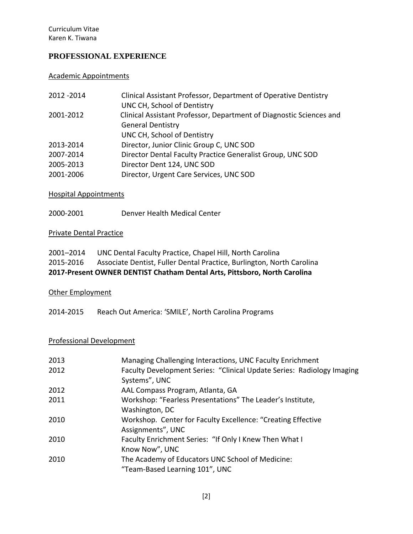## **PROFESSIONAL EXPERIENCE**

## Academic Appointments

| 2012 - 2014 | Clinical Assistant Professor, Department of Operative Dentistry<br>UNC CH, School of Dentistry |
|-------------|------------------------------------------------------------------------------------------------|
| 2001-2012   | Clinical Assistant Professor, Department of Diagnostic Sciences and                            |
|             | <b>General Dentistry</b>                                                                       |
|             | UNC CH, School of Dentistry                                                                    |
| 2013-2014   | Director, Junior Clinic Group C, UNC SOD                                                       |
| 2007-2014   | Director Dental Faculty Practice Generalist Group, UNC SOD                                     |
| 2005-2013   | Director Dent 124, UNC SOD                                                                     |
| 2001-2006   | Director, Urgent Care Services, UNC SOD                                                        |

# Hospital Appointments

2000-2001 Denver Health Medical Center

## Private Dental Practice

|           | 2017-Present OWNER DENTIST Chatham Dental Arts, Pittsboro, North Carolina |
|-----------|---------------------------------------------------------------------------|
| 2015-2016 | Associate Dentist, Fuller Dental Practice, Burlington, North Carolina     |
| 2001-2014 | UNC Dental Faculty Practice, Chapel Hill, North Carolina                  |

### Other Employment

2014-2015 Reach Out America: 'SMILE', North Carolina Programs

#### Professional Development

| 2013 | Managing Challenging Interactions, UNC Faculty Enrichment              |
|------|------------------------------------------------------------------------|
| 2012 | Faculty Development Series: "Clinical Update Series: Radiology Imaging |
|      | Systems", UNC                                                          |
| 2012 | AAL Compass Program, Atlanta, GA                                       |
| 2011 | Workshop: "Fearless Presentations" The Leader's Institute,             |
|      | Washington, DC                                                         |
| 2010 | Workshop. Center for Faculty Excellence: "Creating Effective           |
|      | Assignments", UNC                                                      |
| 2010 | Faculty Enrichment Series: "If Only I Knew Then What I                 |
|      | Know Now", UNC                                                         |
| 2010 | The Academy of Educators UNC School of Medicine:                       |
|      | "Team-Based Learning 101", UNC                                         |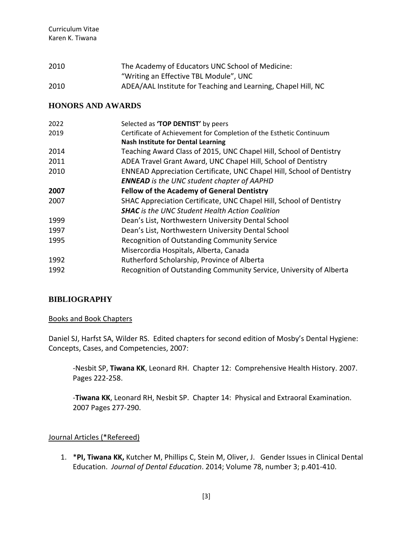| 2010 | The Academy of Educators UNC School of Medicine:              |
|------|---------------------------------------------------------------|
|      | "Writing an Effective TBL Module", UNC                        |
| 2010 | ADEA/AAL Institute for Teaching and Learning, Chapel Hill, NC |

### **HONORS AND AWARDS**

| 2022 | Selected as 'TOP DENTIST' by peers                                    |
|------|-----------------------------------------------------------------------|
| 2019 | Certificate of Achievement for Completion of the Esthetic Continuum   |
|      | <b>Nash Institute for Dental Learning</b>                             |
| 2014 | Teaching Award Class of 2015, UNC Chapel Hill, School of Dentistry    |
| 2011 | ADEA Travel Grant Award, UNC Chapel Hill, School of Dentistry         |
| 2010 | ENNEAD Appreciation Certificate, UNC Chapel Hill, School of Dentistry |
|      | <b>ENNEAD</b> is the UNC student chapter of AAPHD                     |
| 2007 | <b>Fellow of the Academy of General Dentistry</b>                     |
| 2007 | SHAC Appreciation Certificate, UNC Chapel Hill, School of Dentistry   |
|      | <b>SHAC</b> is the UNC Student Health Action Coalition                |
| 1999 | Dean's List, Northwestern University Dental School                    |
| 1997 | Dean's List, Northwestern University Dental School                    |
| 1995 | Recognition of Outstanding Community Service                          |
|      | Misercordia Hospitals, Alberta, Canada                                |
| 1992 | Rutherford Scholarship, Province of Alberta                           |
| 1992 | Recognition of Outstanding Community Service, University of Alberta   |
|      |                                                                       |

#### **BIBLIOGRAPHY**

#### Books and Book Chapters

Daniel SJ, Harfst SA, Wilder RS. Edited chapters for second edition of Mosby's Dental Hygiene: Concepts, Cases, and Competencies, 2007:

-Nesbit SP, **Tiwana KK**, Leonard RH. Chapter 12: Comprehensive Health History. 2007. Pages 222-258.

-**Tiwana KK**, Leonard RH, Nesbit SP. Chapter 14: Physical and Extraoral Examination. 2007 Pages 277-290.

#### Journal Articles (\*Refereed)

1. \***PI, Tiwana KK,** Kutcher M, Phillips C, Stein M, Oliver, J. Gender Issues in Clinical Dental Education. *Journal of Dental Education*. 2014; Volume 78, number 3; p.401-410.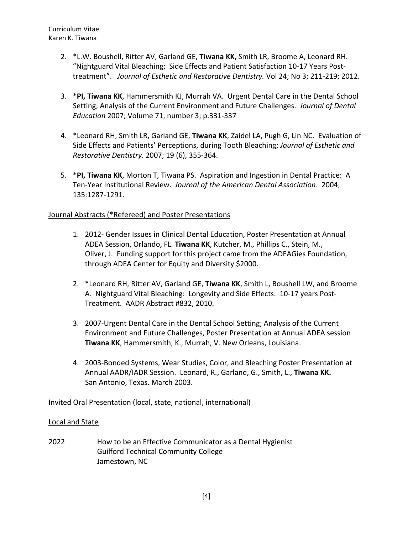- 2. \*L.W. Boushell, Ritter AV, Garland GE, **Tiwana KK,** Smith LR, Broome A, Leonard RH. "Nightguard Vital Bleaching: Side Effects and Patient Satisfaction 10-17 Years Posttreatment". *Journal of Esthetic and Restorative Dentistry.* Vol 24; No 3; 211-219; 2012.
- 3. **\*PI, Tiwana KK**, Hammersmith KJ, Murrah VA. Urgent Dental Care in the Dental School Setting; Analysis of the Current Environment and Future Challenges. *Journal of Dental Education* 2007; Volume 71, number 3; p.331-337
- 4. \*Leonard RH, Smith LR, Garland GE, **Tiwana KK**, Zaidel LA, Pugh G, Lin NC. Evaluation of Side Effects and Patients' Perceptions, during Tooth Bleaching; *Journal of Esthetic and Restorative Dentistry*. 2007; 19 (6), 355-364.
- 5. **\*PI, Tiwana KK**, Morton T, Tiwana PS. Aspiration and Ingestion in Dental Practice: A Ten-Year Institutional Review. *Journal of the American Dental Association*. 2004; 135:1287-1291.

### Journal Abstracts (\*Refereed) and Poster Presentations

- 1. 2012- Gender Issues in Clinical Dental Education, Poster Presentation at Annual ADEA Session, Orlando, FL. **Tiwana KK**, Kutcher, M., Phillips C., Stein, M., Oliver, J. Funding support for this project came from the ADEAGies Foundation, through ADEA Center for Equity and Diversity \$2000.
- 2. \*Leonard RH, Ritter AV, Garland GE, **Tiwana KK**, Smith L, Boushell LW, and Broome A. Nightguard Vital Bleaching: Longevity and Side Effects: 10-17 years Post-Treatment. AADR Abstract #832, 2010.
- 3. 2007-Urgent Dental Care in the Dental School Setting; Analysis of the Current Environment and Future Challenges, Poster Presentation at Annual ADEA session **Tiwana KK**, Hammersmith, K., Murrah, V. New Orleans, Louisiana.
- 4. 2003-Bonded Systems, Wear Studies, Color, and Bleaching Poster Presentation at Annual AADR/IADR Session. Leonard, R., Garland, G., Smith, L., **Tiwana KK.** San Antonio, Texas. March 2003.

#### Invited Oral Presentation (local, state, national, international)

#### Local and State

2022 How to be an Effective Communicator as a Dental Hygienist Guilford Technical Community College Jamestown, NC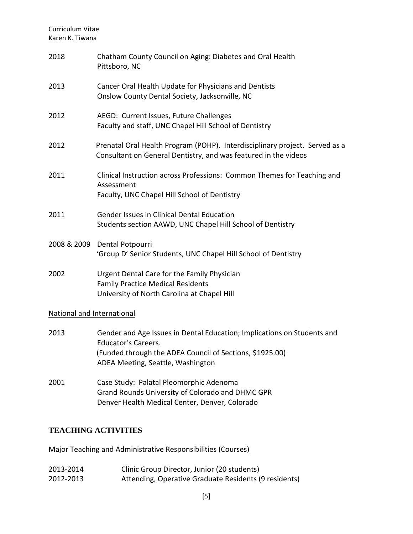| 2018                              | Chatham County Council on Aging: Diabetes and Oral Health<br>Pittsboro, NC                                                                                                                      |  |
|-----------------------------------|-------------------------------------------------------------------------------------------------------------------------------------------------------------------------------------------------|--|
| 2013                              | Cancer Oral Health Update for Physicians and Dentists<br>Onslow County Dental Society, Jacksonville, NC                                                                                         |  |
| 2012                              | AEGD: Current Issues, Future Challenges<br>Faculty and staff, UNC Chapel Hill School of Dentistry                                                                                               |  |
| 2012                              | Prenatal Oral Health Program (POHP). Interdisciplinary project. Served as a<br>Consultant on General Dentistry, and was featured in the videos                                                  |  |
| 2011                              | Clinical Instruction across Professions: Common Themes for Teaching and<br>Assessment<br>Faculty, UNC Chapel Hill School of Dentistry                                                           |  |
| 2011                              | Gender Issues in Clinical Dental Education<br>Students section AAWD, UNC Chapel Hill School of Dentistry                                                                                        |  |
|                                   | 2008 & 2009 Dental Potpourri<br>'Group D' Senior Students, UNC Chapel Hill School of Dentistry                                                                                                  |  |
| 2002                              | Urgent Dental Care for the Family Physician<br><b>Family Practice Medical Residents</b><br>University of North Carolina at Chapel Hill                                                          |  |
| <b>National and International</b> |                                                                                                                                                                                                 |  |
| 2013                              | Gender and Age Issues in Dental Education; Implications on Students and<br>Educator's Careers.<br>(Funded through the ADEA Council of Sections, \$1925.00)<br>ADEA Meeting, Seattle, Washington |  |
| 2001                              | Case Study: Palatal Pleomorphic Adenoma<br>Grand Rounds University of Colorado and DHMC GPR                                                                                                     |  |

Denver Health Medical Center, Denver, Colorado

# **TEACHING ACTIVITIES**

Major Teaching and Administrative Responsibilities (Courses)

| 2013-2014 | Clinic Group Director, Junior (20 students)           |
|-----------|-------------------------------------------------------|
| 2012-2013 | Attending, Operative Graduate Residents (9 residents) |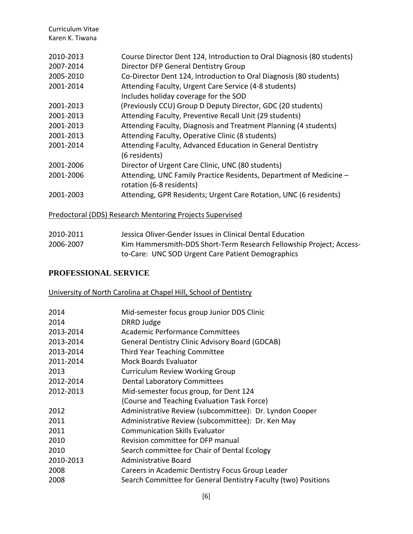| 2010-2013 | Course Director Dent 124, Introduction to Oral Diagnosis (80 students) |
|-----------|------------------------------------------------------------------------|
| 2007-2014 | Director DFP General Dentistry Group                                   |
| 2005-2010 | Co-Director Dent 124, Introduction to Oral Diagnosis (80 students)     |
| 2001-2014 | Attending Faculty, Urgent Care Service (4-8 students)                  |
|           | Includes holiday coverage for the SOD                                  |
| 2001-2013 | (Previously CCU) Group D Deputy Director, GDC (20 students)            |
| 2001-2013 | Attending Faculty, Preventive Recall Unit (29 students)                |
| 2001-2013 | Attending Faculty, Diagnosis and Treatment Planning (4 students)       |
| 2001-2013 | Attending Faculty, Operative Clinic (8 students)                       |
| 2001-2014 | Attending Faculty, Advanced Education in General Dentistry             |
|           | (6 residents)                                                          |
| 2001-2006 | Director of Urgent Care Clinic, UNC (80 students)                      |
| 2001-2006 | Attending, UNC Family Practice Residents, Department of Medicine -     |
|           | rotation (6-8 residents)                                               |
| 2001-2003 | Attending, GPR Residents; Urgent Care Rotation, UNC (6 residents)      |

### Predoctoral (DDS) Research Mentoring Projects Supervised

| 2010-2011 | Jessica Oliver-Gender Issues in Clinical Dental Education           |
|-----------|---------------------------------------------------------------------|
| 2006-2007 | Kim Hammersmith-DDS Short-Term Research Fellowship Project; Access- |
|           | to-Care: UNC SOD Urgent Care Patient Demographics                   |

# **PROFESSIONAL SERVICE**

# University of North Carolina at Chapel Hill, School of Dentistry

| 2014      | Mid-semester focus group Junior DDS Clinic                     |
|-----------|----------------------------------------------------------------|
| 2014      | DRRD Judge                                                     |
| 2013-2014 | Academic Performance Committees                                |
| 2013-2014 | <b>General Dentistry Clinic Advisory Board (GDCAB)</b>         |
| 2013-2014 | <b>Third Year Teaching Committee</b>                           |
| 2011-2014 | <b>Mock Boards Evaluator</b>                                   |
| 2013      | <b>Curriculum Review Working Group</b>                         |
| 2012-2014 | <b>Dental Laboratory Committees</b>                            |
| 2012-2013 | Mid-semester focus group, for Dent 124                         |
|           | (Course and Teaching Evaluation Task Force)                    |
| 2012      | Administrative Review (subcommittee): Dr. Lyndon Cooper        |
| 2011      | Administrative Review (subcommittee): Dr. Ken May              |
| 2011      | <b>Communication Skills Evaluator</b>                          |
| 2010      | Revision committee for DFP manual                              |
| 2010      | Search committee for Chair of Dental Ecology                   |
| 2010-2013 | Administrative Board                                           |
| 2008      | Careers in Academic Dentistry Focus Group Leader               |
| 2008      | Search Committee for General Dentistry Faculty (two) Positions |
|           |                                                                |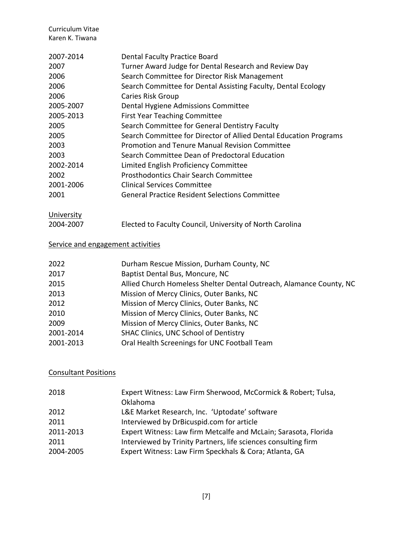| <b>Dental Faculty Practice Board</b>                              |
|-------------------------------------------------------------------|
| Turner Award Judge for Dental Research and Review Day             |
| Search Committee for Director Risk Management                     |
| Search Committee for Dental Assisting Faculty, Dental Ecology     |
| Caries Risk Group                                                 |
| Dental Hygiene Admissions Committee                               |
| <b>First Year Teaching Committee</b>                              |
| Search Committee for General Dentistry Faculty                    |
| Search Committee for Director of Allied Dental Education Programs |
| Promotion and Tenure Manual Revision Committee                    |
| Search Committee Dean of Predoctoral Education                    |
| Limited English Proficiency Committee                             |
| <b>Prosthodontics Chair Search Committee</b>                      |
| Clinical Services Committee                                       |
| <b>General Practice Resident Selections Committee</b>             |
|                                                                   |

# **University**

| 2004-2007 | Elected to Faculty Council, University of North Carolina |
|-----------|----------------------------------------------------------|
|-----------|----------------------------------------------------------|

# Service and engagement activities

| 2022      | Durham Rescue Mission, Durham County, NC                            |
|-----------|---------------------------------------------------------------------|
| 2017      | Baptist Dental Bus, Moncure, NC                                     |
| 2015      | Allied Church Homeless Shelter Dental Outreach, Alamance County, NC |
| 2013      | Mission of Mercy Clinics, Outer Banks, NC                           |
| 2012      | Mission of Mercy Clinics, Outer Banks, NC                           |
| 2010      | Mission of Mercy Clinics, Outer Banks, NC                           |
| 2009      | Mission of Mercy Clinics, Outer Banks, NC                           |
| 2001-2014 | <b>SHAC Clinics, UNC School of Dentistry</b>                        |
| 2001-2013 | Oral Health Screenings for UNC Football Team                        |
|           |                                                                     |

# Consultant Positions

| 2018      | Expert Witness: Law Firm Sherwood, McCormick & Robert; Tulsa,<br>Oklahoma |
|-----------|---------------------------------------------------------------------------|
| 2012      | L&E Market Research, Inc. 'Uptodate' software                             |
| 2011      | Interviewed by DrBicuspid.com for article                                 |
| 2011-2013 | Expert Witness: Law firm Metcalfe and McLain; Sarasota, Florida           |
| 2011      | Interviewed by Trinity Partners, life sciences consulting firm            |
| 2004-2005 | Expert Witness: Law Firm Speckhals & Cora; Atlanta, GA                    |
|           |                                                                           |